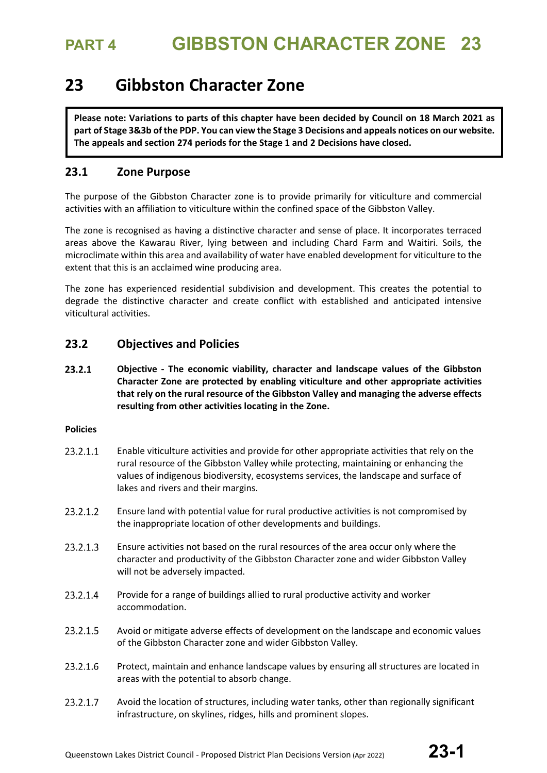## **23 Gibbston Character Zone**

**Please note: Variations to parts of this chapter have been decided by Council on 18 March 2021 as part of Stage 3&3b of the PDP. You can view the Stage 3 Decisions and appeals notices on our website. The appeals and section 274 periods for the Stage 1 and 2 Decisions have closed.**

## **23.1 Zone Purpose**

The purpose of the Gibbston Character zone is to provide primarily for viticulture and commercial activities with an affiliation to viticulture within the confined space of the Gibbston Valley.

The zone is recognised as having a distinctive character and sense of place. It incorporates terraced areas above the Kawarau River, lying between and including Chard Farm and Waitiri. Soils, the microclimate within this area and availability of water have enabled development for viticulture to the extent that this is an acclaimed wine producing area.

The zone has experienced residential subdivision and development. This creates the potential to degrade the distinctive character and create conflict with established and anticipated intensive viticultural activities.

## **23.2 Objectives and Policies**

23.2.1 **Objective - The economic viability, character and landscape values of the Gibbston Character Zone are protected by enabling viticulture and other appropriate activities that rely on the rural resource of the Gibbston Valley and managing the adverse effects resulting from other activities locating in the Zone.**

## **Policies**

- 23.2.1.1 Enable viticulture activities and provide for other appropriate activities that rely on the rural resource of the Gibbston Valley while protecting, maintaining or enhancing the values of indigenous biodiversity, ecosystems services, the landscape and surface of lakes and rivers and their margins.
- 23.2.1.2 Ensure land with potential value for rural productive activities is not compromised by the inappropriate location of other developments and buildings.
- 23.2.1.3 Ensure activities not based on the rural resources of the area occur only where the character and productivity of the Gibbston Character zone and wider Gibbston Valley will not be adversely impacted.
- 23.2.1.4 Provide for a range of buildings allied to rural productive activity and worker accommodation.
- 23.2.1.5 Avoid or mitigate adverse effects of development on the landscape and economic values of the Gibbston Character zone and wider Gibbston Valley.
- 23.2.1.6 Protect, maintain and enhance landscape values by ensuring all structures are located in areas with the potential to absorb change.
- 23.2.1.7 Avoid the location of structures, including water tanks, other than regionally significant infrastructure, on skylines, ridges, hills and prominent slopes.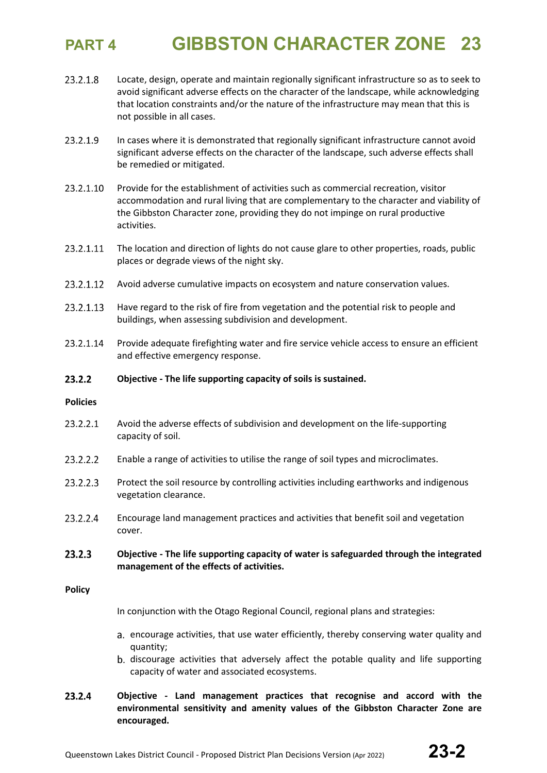- 23.2.1.8 Locate, design, operate and maintain regionally significant infrastructure so as to seek to avoid significant adverse effects on the character of the landscape, while acknowledging that location constraints and/or the nature of the infrastructure may mean that this is not possible in all cases.
- 23.2.1.9 In cases where it is demonstrated that regionally significant infrastructure cannot avoid significant adverse effects on the character of the landscape, such adverse effects shall be remedied or mitigated.
- 23.2.1.10 Provide for the establishment of activities such as commercial recreation, visitor accommodation and rural living that are complementary to the character and viability of the Gibbston Character zone, providing they do not impinge on rural productive activities.
- 23.2.1.11 The location and direction of lights do not cause glare to other properties, roads, public places or degrade views of the night sky.
- 23.2.1.12 Avoid adverse cumulative impacts on ecosystem and nature conservation values.
- 23.2.1.13 Have regard to the risk of fire from vegetation and the potential risk to people and buildings, when assessing subdivision and development.
- 23.2.1.14 Provide adequate firefighting water and fire service vehicle access to ensure an efficient and effective emergency response.
- $23.2.2$ **Objective - The life supporting capacity of soils is sustained.**

### **Policies**

- 23.2.2.1 Avoid the adverse effects of subdivision and development on the life-supporting capacity of soil.
- 23.2.2.2 Enable a range of activities to utilise the range of soil types and microclimates.
- 23.2.2.3 Protect the soil resource by controlling activities including earthworks and indigenous vegetation clearance.
- 23.2.2.4 Encourage land management practices and activities that benefit soil and vegetation cover.
- $23.2.3$ **Objective - The life supporting capacity of water is safeguarded through the integrated management of the effects of activities.**

### **Policy**

In conjunction with the Otago Regional Council, regional plans and strategies:

- encourage activities, that use water efficiently, thereby conserving water quality and quantity;
- discourage activities that adversely affect the potable quality and life supporting capacity of water and associated ecosystems.
- 23.2.4 **Objective - Land management practices that recognise and accord with the environmental sensitivity and amenity values of the Gibbston Character Zone are encouraged.**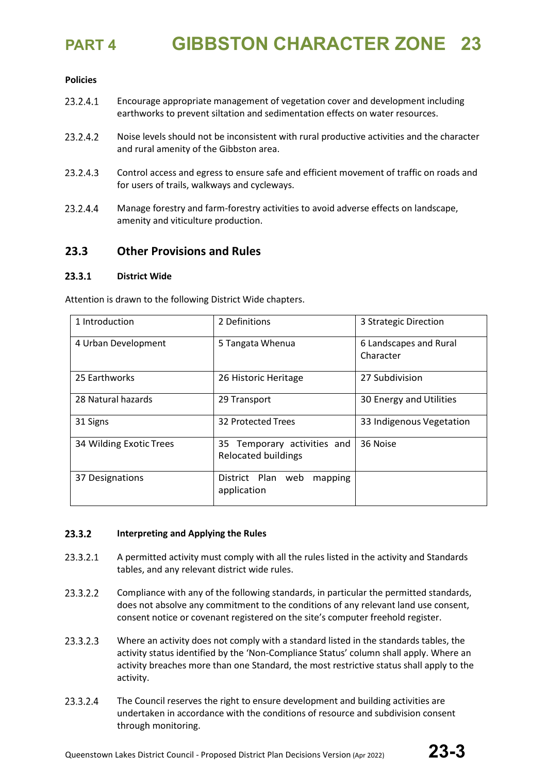## **Policies**

- 23.2.4.1 Encourage appropriate management of vegetation cover and development including earthworks to prevent siltation and sedimentation effects on water resources.
- 23.2.4.2 Noise levels should not be inconsistent with rural productive activities and the character and rural amenity of the Gibbston area.
- 23.2.4.3 Control access and egress to ensure safe and efficient movement of traffic on roads and for users of trails, walkways and cycleways.
- 23.2.4.4 Manage forestry and farm-forestry activities to avoid adverse effects on landscape, amenity and viticulture production.

## **23.3 Other Provisions and Rules**

### 23.3.1 **District Wide**

Attention is drawn to the following District Wide chapters.

| 1 Introduction          | 2 Definitions                                             | 3 Strategic Direction               |
|-------------------------|-----------------------------------------------------------|-------------------------------------|
| 4 Urban Development     | 5 Tangata Whenua                                          | 6 Landscapes and Rural<br>Character |
| 25 Earthworks           | 26 Historic Heritage                                      | 27 Subdivision                      |
| 28 Natural hazards      | 29 Transport                                              | 30 Energy and Utilities             |
| 31 Signs                | 32 Protected Trees                                        | 33 Indigenous Vegetation            |
| 34 Wilding Exotic Trees | 35 Temporary activities and<br><b>Relocated buildings</b> | 36 Noise                            |
| 37 Designations         | District Plan<br>web<br>mapping<br>application            |                                     |

### $23.3.2$ **Interpreting and Applying the Rules**

- 23.3.2.1 A permitted activity must comply with all the rules listed in the activity and Standards tables, and any relevant district wide rules.
- 23.3.2.2 Compliance with any of the following standards, in particular the permitted standards, does not absolve any commitment to the conditions of any relevant land use consent, consent notice or covenant registered on the site's computer freehold register.
- 23.3.2.3 Where an activity does not comply with a standard listed in the standards tables, the activity status identified by the 'Non-Compliance Status' column shall apply. Where an activity breaches more than one Standard, the most restrictive status shall apply to the activity.
- 23.3.2.4 The Council reserves the right to ensure development and building activities are undertaken in accordance with the conditions of resource and subdivision consent through monitoring.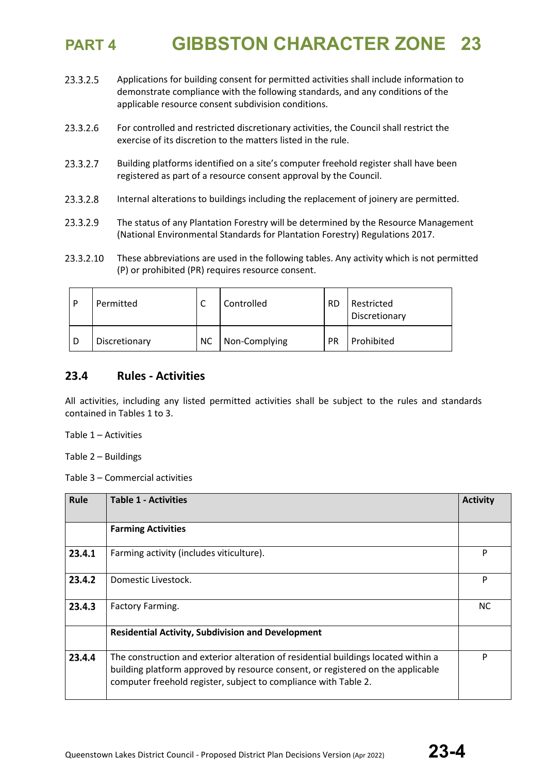- 23.3.2.5 Applications for building consent for permitted activities shall include information to demonstrate compliance with the following standards, and any conditions of the applicable resource consent subdivision conditions.
- 23.3.2.6 For controlled and restricted discretionary activities, the Council shall restrict the exercise of its discretion to the matters listed in the rule.
- 23.3.2.7 Building platforms identified on a site's computer freehold register shall have been registered as part of a resource consent approval by the Council.
- 23.3.2.8 Internal alterations to buildings including the replacement of joinery are permitted.
- 23.3.2.9 The status of any Plantation Forestry will be determined by the Resource Management (National Environmental Standards for Plantation Forestry) Regulations 2017.
- 23.3.2.10 These abbreviations are used in the following tables. Any activity which is not permitted (P) or prohibited (PR) requires resource consent.

| D | Permitted     | ╰   | Controlled    | <b>RD</b> | Restricted<br>Discretionary |
|---|---------------|-----|---------------|-----------|-----------------------------|
|   | Discretionary | NC. | Non-Complying | <b>PR</b> | Prohibited                  |

## **23.4 Rules - Activities**

All activities, including any listed permitted activities shall be subject to the rules and standards contained in Tables 1 to 3.

Table 1 – Activities

Table 2 – Buildings

Table 3 – Commercial activities

| Rule   | <b>Table 1 - Activities</b>                                                                                                                                                                                                              | <b>Activity</b> |
|--------|------------------------------------------------------------------------------------------------------------------------------------------------------------------------------------------------------------------------------------------|-----------------|
|        | <b>Farming Activities</b>                                                                                                                                                                                                                |                 |
| 23.4.1 | Farming activity (includes viticulture).                                                                                                                                                                                                 | P               |
| 23.4.2 | Domestic Livestock.                                                                                                                                                                                                                      | P               |
| 23.4.3 | Factory Farming.                                                                                                                                                                                                                         | <b>NC</b>       |
|        | <b>Residential Activity, Subdivision and Development</b>                                                                                                                                                                                 |                 |
| 23.4.4 | The construction and exterior alteration of residential buildings located within a<br>building platform approved by resource consent, or registered on the applicable<br>computer freehold register, subject to compliance with Table 2. | P               |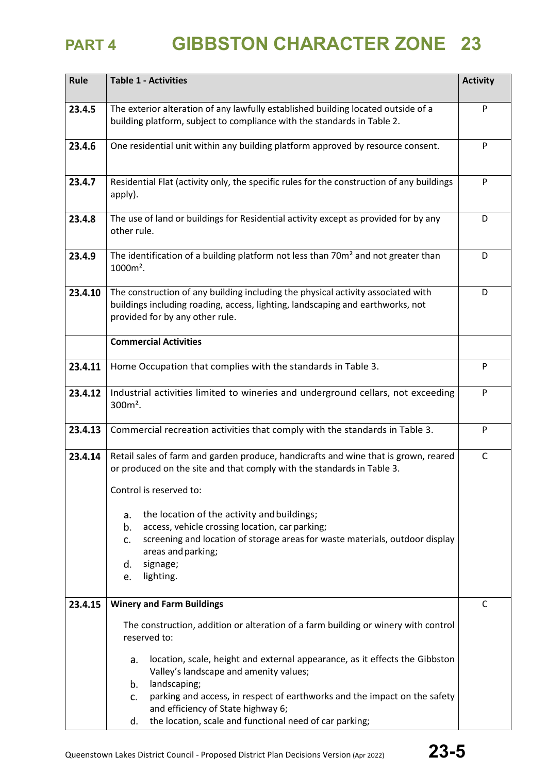| Rule    | <b>Table 1 - Activities</b>                                                                                                                                                                                                                                                                                                                                                                                                                             |              |  |  |  |  |
|---------|---------------------------------------------------------------------------------------------------------------------------------------------------------------------------------------------------------------------------------------------------------------------------------------------------------------------------------------------------------------------------------------------------------------------------------------------------------|--------------|--|--|--|--|
| 23.4.5  | The exterior alteration of any lawfully established building located outside of a<br>building platform, subject to compliance with the standards in Table 2.                                                                                                                                                                                                                                                                                            |              |  |  |  |  |
| 23.4.6  | One residential unit within any building platform approved by resource consent.                                                                                                                                                                                                                                                                                                                                                                         |              |  |  |  |  |
| 23.4.7  | Residential Flat (activity only, the specific rules for the construction of any buildings<br>apply).                                                                                                                                                                                                                                                                                                                                                    | P            |  |  |  |  |
| 23.4.8  | The use of land or buildings for Residential activity except as provided for by any<br>other rule.                                                                                                                                                                                                                                                                                                                                                      | D            |  |  |  |  |
| 23.4.9  | The identification of a building platform not less than 70m <sup>2</sup> and not greater than<br>1000m <sup>2</sup> .                                                                                                                                                                                                                                                                                                                                   | D            |  |  |  |  |
| 23.4.10 | The construction of any building including the physical activity associated with<br>buildings including roading, access, lighting, landscaping and earthworks, not<br>provided for by any other rule.                                                                                                                                                                                                                                                   | D            |  |  |  |  |
|         | <b>Commercial Activities</b>                                                                                                                                                                                                                                                                                                                                                                                                                            |              |  |  |  |  |
| 23.4.11 | Home Occupation that complies with the standards in Table 3.                                                                                                                                                                                                                                                                                                                                                                                            |              |  |  |  |  |
| 23.4.12 | Industrial activities limited to wineries and underground cellars, not exceeding<br>$300m^2$ .                                                                                                                                                                                                                                                                                                                                                          |              |  |  |  |  |
| 23.4.13 | Commercial recreation activities that comply with the standards in Table 3.                                                                                                                                                                                                                                                                                                                                                                             |              |  |  |  |  |
| 23.4.14 | Retail sales of farm and garden produce, handicrafts and wine that is grown, reared<br>or produced on the site and that comply with the standards in Table 3.<br>Control is reserved to:<br>the location of the activity and buildings;<br>a.<br>b.<br>access, vehicle crossing location, car parking;<br>screening and location of storage areas for waste materials, outdoor display<br>c.<br>areas and parking;<br>signage;<br>d.<br>lighting.<br>e. | $\mathsf{C}$ |  |  |  |  |
|         |                                                                                                                                                                                                                                                                                                                                                                                                                                                         |              |  |  |  |  |
| 23.4.15 | <b>Winery and Farm Buildings</b><br>The construction, addition or alteration of a farm building or winery with control<br>reserved to:<br>location, scale, height and external appearance, as it effects the Gibbston<br>a.                                                                                                                                                                                                                             | C            |  |  |  |  |
|         | Valley's landscape and amenity values;<br>landscaping;<br>b.<br>parking and access, in respect of earthworks and the impact on the safety<br>c.<br>and efficiency of State highway 6;<br>the location, scale and functional need of car parking;<br>d.                                                                                                                                                                                                  |              |  |  |  |  |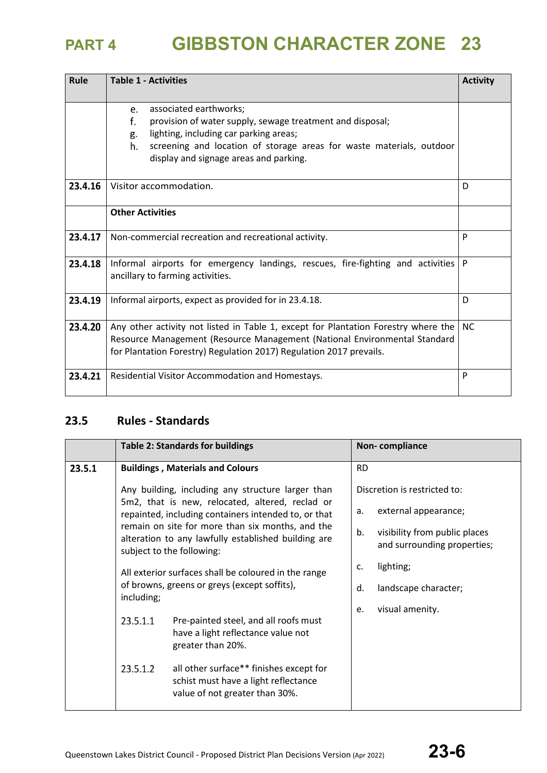| Rule    | <b>Table 1 - Activities</b><br><b>Activity</b>                                                                      |    |  |  |
|---------|---------------------------------------------------------------------------------------------------------------------|----|--|--|
|         |                                                                                                                     |    |  |  |
|         | associated earthworks;<br>e.                                                                                        |    |  |  |
|         | f.<br>provision of water supply, sewage treatment and disposal;                                                     |    |  |  |
|         | lighting, including car parking areas;<br>g.                                                                        |    |  |  |
|         | screening and location of storage areas for waste materials, outdoor<br>h.                                          |    |  |  |
|         | display and signage areas and parking.                                                                              |    |  |  |
| 23.4.16 | Visitor accommodation.                                                                                              | D  |  |  |
|         | <b>Other Activities</b>                                                                                             |    |  |  |
| 23.4.17 | Non-commercial recreation and recreational activity.                                                                | P  |  |  |
| 23.4.18 | Informal airports for emergency landings, rescues, fire-fighting and activities<br>ancillary to farming activities. |    |  |  |
| 23.4.19 | Informal airports, expect as provided for in 23.4.18.                                                               |    |  |  |
| 23.4.20 | Any other activity not listed in Table 1, except for Plantation Forestry where the                                  | NC |  |  |
|         | Resource Management (Resource Management (National Environmental Standard                                           |    |  |  |
|         | for Plantation Forestry) Regulation 2017) Regulation 2017 prevails.                                                 |    |  |  |
| 23.4.21 | Residential Visitor Accommodation and Homestays.                                                                    | P  |  |  |

## **23.5 Rules - Standards**

|        | <b>Table 2: Standards for buildings</b>                                                                                                                                                      |                                                                                                                   |                 | Non-compliance                                               |
|--------|----------------------------------------------------------------------------------------------------------------------------------------------------------------------------------------------|-------------------------------------------------------------------------------------------------------------------|-----------------|--------------------------------------------------------------|
| 23.5.1 | <b>Buildings, Materials and Colours</b>                                                                                                                                                      |                                                                                                                   | <b>RD</b>       |                                                              |
|        |                                                                                                                                                                                              | Any building, including any structure larger than<br>5m2, that is new, relocated, altered, reclad or              |                 | Discretion is restricted to:                                 |
|        |                                                                                                                                                                                              | repainted, including containers intended to, or that                                                              | a.              | external appearance;                                         |
|        | remain on site for more than six months, and the<br>alteration to any lawfully established building are<br>subject to the following:<br>All exterior surfaces shall be coloured in the range |                                                                                                                   | b.              | visibility from public places<br>and surrounding properties; |
|        |                                                                                                                                                                                              |                                                                                                                   | c.              | lighting;                                                    |
|        | including;                                                                                                                                                                                   | of browns, greens or greys (except soffits),                                                                      | d.              | landscape character;                                         |
|        | 23.5.1.1<br>Pre-painted steel, and all roofs must<br>have a light reflectance value not<br>greater than 20%.                                                                                 | e.                                                                                                                | visual amenity. |                                                              |
|        | 23.5.1.2                                                                                                                                                                                     | all other surface** finishes except for<br>schist must have a light reflectance<br>value of not greater than 30%. |                 |                                                              |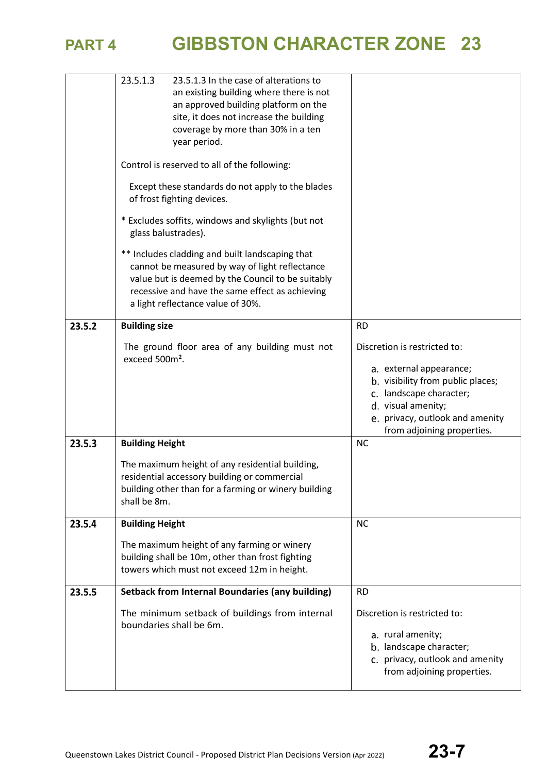

|        | 23.5.1.3<br>23.5.1.3 In the case of alterations to<br>an existing building where there is not<br>an approved building platform on the<br>site, it does not increase the building<br>coverage by more than 30% in a ten<br>year period.         |                                                                                                                                                                                                                |
|--------|------------------------------------------------------------------------------------------------------------------------------------------------------------------------------------------------------------------------------------------------|----------------------------------------------------------------------------------------------------------------------------------------------------------------------------------------------------------------|
|        | Control is reserved to all of the following:                                                                                                                                                                                                   |                                                                                                                                                                                                                |
|        | Except these standards do not apply to the blades<br>of frost fighting devices.                                                                                                                                                                |                                                                                                                                                                                                                |
|        | * Excludes soffits, windows and skylights (but not<br>glass balustrades).                                                                                                                                                                      |                                                                                                                                                                                                                |
|        | ** Includes cladding and built landscaping that<br>cannot be measured by way of light reflectance<br>value but is deemed by the Council to be suitably<br>recessive and have the same effect as achieving<br>a light reflectance value of 30%. |                                                                                                                                                                                                                |
| 23.5.2 | <b>Building size</b>                                                                                                                                                                                                                           | <b>RD</b>                                                                                                                                                                                                      |
|        | The ground floor area of any building must not<br>exceed 500m <sup>2</sup> .                                                                                                                                                                   | Discretion is restricted to:<br>a. external appearance;<br>b. visibility from public places;<br>c. landscape character;<br>d. visual amenity;<br>e. privacy, outlook and amenity<br>from adjoining properties. |
| 23.5.3 | <b>Building Height</b>                                                                                                                                                                                                                         | <b>NC</b>                                                                                                                                                                                                      |
|        | The maximum height of any residential building,<br>residential accessory building or commercial<br>building other than for a farming or winery building<br>shall be 8m.                                                                        |                                                                                                                                                                                                                |
| 23.5.4 | <b>Building Height</b>                                                                                                                                                                                                                         | <b>NC</b>                                                                                                                                                                                                      |
|        | The maximum height of any farming or winery<br>building shall be 10m, other than frost fighting<br>towers which must not exceed 12m in height.                                                                                                 |                                                                                                                                                                                                                |
| 23.5.5 | <b>Setback from Internal Boundaries (any building)</b>                                                                                                                                                                                         | <b>RD</b>                                                                                                                                                                                                      |
|        | The minimum setback of buildings from internal<br>boundaries shall be 6m.                                                                                                                                                                      | Discretion is restricted to:<br>a. rural amenity;<br>b. landscape character;<br>c. privacy, outlook and amenity<br>from adjoining properties.                                                                  |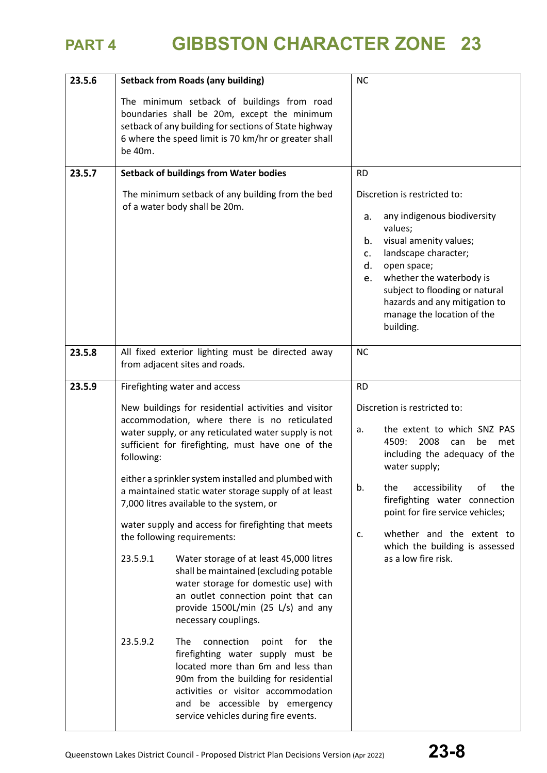| 23.5.6 | <b>Setback from Roads (any building)</b>                                                                                                                                                                                                                                                                                                                                                                                                                                                                                                                                                                                                                                                                                                                                                                                                                                                                                                           | <b>NC</b>                                                                                                                                                                                                                                                                                                                                                            |
|--------|----------------------------------------------------------------------------------------------------------------------------------------------------------------------------------------------------------------------------------------------------------------------------------------------------------------------------------------------------------------------------------------------------------------------------------------------------------------------------------------------------------------------------------------------------------------------------------------------------------------------------------------------------------------------------------------------------------------------------------------------------------------------------------------------------------------------------------------------------------------------------------------------------------------------------------------------------|----------------------------------------------------------------------------------------------------------------------------------------------------------------------------------------------------------------------------------------------------------------------------------------------------------------------------------------------------------------------|
|        | The minimum setback of buildings from road<br>boundaries shall be 20m, except the minimum<br>setback of any building for sections of State highway<br>6 where the speed limit is 70 km/hr or greater shall<br>be 40m.                                                                                                                                                                                                                                                                                                                                                                                                                                                                                                                                                                                                                                                                                                                              |                                                                                                                                                                                                                                                                                                                                                                      |
| 23.5.7 | <b>Setback of buildings from Water bodies</b>                                                                                                                                                                                                                                                                                                                                                                                                                                                                                                                                                                                                                                                                                                                                                                                                                                                                                                      | <b>RD</b>                                                                                                                                                                                                                                                                                                                                                            |
|        | The minimum setback of any building from the bed<br>of a water body shall be 20m.                                                                                                                                                                                                                                                                                                                                                                                                                                                                                                                                                                                                                                                                                                                                                                                                                                                                  | Discretion is restricted to:<br>any indigenous biodiversity<br>а.<br>values;<br>visual amenity values;<br>b.<br>landscape character;<br>c.<br>open space;<br>d.<br>whether the waterbody is<br>e.<br>subject to flooding or natural<br>hazards and any mitigation to<br>manage the location of the<br>building.                                                      |
| 23.5.8 | All fixed exterior lighting must be directed away<br>from adjacent sites and roads.                                                                                                                                                                                                                                                                                                                                                                                                                                                                                                                                                                                                                                                                                                                                                                                                                                                                | <b>NC</b>                                                                                                                                                                                                                                                                                                                                                            |
| 23.5.9 | Firefighting water and access                                                                                                                                                                                                                                                                                                                                                                                                                                                                                                                                                                                                                                                                                                                                                                                                                                                                                                                      | <b>RD</b>                                                                                                                                                                                                                                                                                                                                                            |
|        | New buildings for residential activities and visitor<br>accommodation, where there is no reticulated<br>water supply, or any reticulated water supply is not<br>sufficient for firefighting, must have one of the<br>following:<br>either a sprinkler system installed and plumbed with<br>a maintained static water storage supply of at least<br>7,000 litres available to the system, or<br>water supply and access for firefighting that meets<br>the following requirements:<br>23.5.9.1<br>Water storage of at least 45,000 litres<br>shall be maintained (excluding potable<br>water storage for domestic use) with<br>an outlet connection point that can<br>provide 1500L/min (25 L/s) and any<br>necessary couplings.<br>23.5.9.2<br>The<br>connection<br>point<br>for<br>the<br>firefighting water supply must be<br>located more than 6m and less than<br>90m from the building for residential<br>activities or visitor accommodation | Discretion is restricted to:<br>the extent to which SNZ PAS<br>a.<br>4509:<br>2008<br>can<br>be<br>met<br>including the adequacy of the<br>water supply;<br>accessibility<br>the<br>οf<br>the<br>b.<br>firefighting water connection<br>point for fire service vehicles;<br>whether and the extent to<br>c.<br>which the building is assessed<br>as a low fire risk. |
|        | and be accessible by emergency<br>service vehicles during fire events.                                                                                                                                                                                                                                                                                                                                                                                                                                                                                                                                                                                                                                                                                                                                                                                                                                                                             |                                                                                                                                                                                                                                                                                                                                                                      |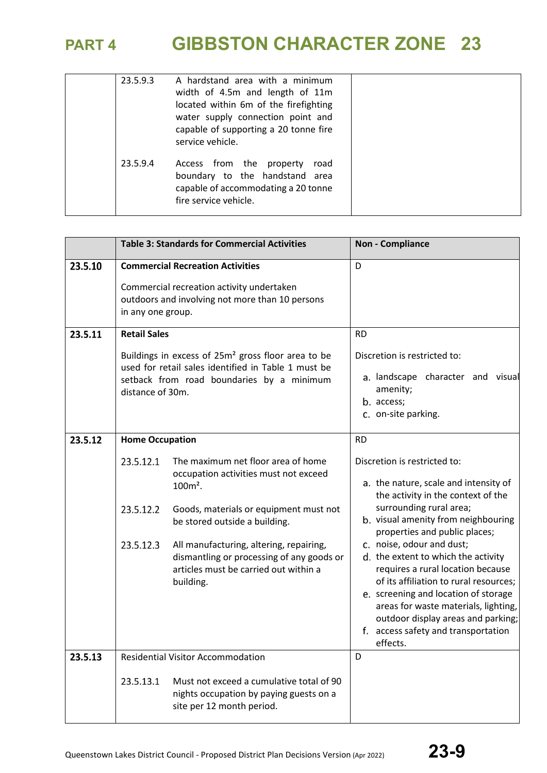| 23.5.9.3 | A hardstand area with a minimum<br>width of 4.5m and length of 11m<br>located within 6m of the firefighting<br>water supply connection point and<br>capable of supporting a 20 tonne fire<br>service vehicle. |  |
|----------|---------------------------------------------------------------------------------------------------------------------------------------------------------------------------------------------------------------|--|
| 23.5.9.4 | Access from the property<br>road<br>boundary to the handstand area<br>capable of accommodating a 20 tonne<br>fire service vehicle.                                                                            |  |

|         |                                                                                                                                                                                                               | <b>Table 3: Standards for Commercial Activities</b>                                                                                                                                                                                                                                                                | <b>Non - Compliance</b>                                                                                                                                                                                                                                                                                                                                                                                                                                                                                                                                 |
|---------|---------------------------------------------------------------------------------------------------------------------------------------------------------------------------------------------------------------|--------------------------------------------------------------------------------------------------------------------------------------------------------------------------------------------------------------------------------------------------------------------------------------------------------------------|---------------------------------------------------------------------------------------------------------------------------------------------------------------------------------------------------------------------------------------------------------------------------------------------------------------------------------------------------------------------------------------------------------------------------------------------------------------------------------------------------------------------------------------------------------|
| 23.5.10 | in any one group.                                                                                                                                                                                             | <b>Commercial Recreation Activities</b><br>Commercial recreation activity undertaken<br>outdoors and involving not more than 10 persons                                                                                                                                                                            | D                                                                                                                                                                                                                                                                                                                                                                                                                                                                                                                                                       |
| 23.5.11 | <b>Retail Sales</b><br>Buildings in excess of 25m <sup>2</sup> gross floor area to be<br>used for retail sales identified in Table 1 must be<br>setback from road boundaries by a minimum<br>distance of 30m. |                                                                                                                                                                                                                                                                                                                    | <b>RD</b><br>Discretion is restricted to:<br>a. landscape character and visual<br>amenity;<br>b. access;<br>c. on-site parking.                                                                                                                                                                                                                                                                                                                                                                                                                         |
| 23.5.12 | <b>Home Occupation</b><br>23.5.12.1<br>23.5.12.2<br>23.5.12.3                                                                                                                                                 | The maximum net floor area of home<br>occupation activities must not exceed<br>$100m^2$ .<br>Goods, materials or equipment must not<br>be stored outside a building.<br>All manufacturing, altering, repairing,<br>dismantling or processing of any goods or<br>articles must be carried out within a<br>building. | <b>RD</b><br>Discretion is restricted to:<br>a. the nature, scale and intensity of<br>the activity in the context of the<br>surrounding rural area;<br>b. visual amenity from neighbouring<br>properties and public places;<br>c. noise, odour and dust;<br>d. the extent to which the activity<br>requires a rural location because<br>of its affiliation to rural resources;<br>e. screening and location of storage<br>areas for waste materials, lighting,<br>outdoor display areas and parking;<br>f. access safety and transportation<br>effects. |
| 23.5.13 | 23.5.13.1                                                                                                                                                                                                     | <b>Residential Visitor Accommodation</b><br>Must not exceed a cumulative total of 90<br>nights occupation by paying guests on a<br>site per 12 month period.                                                                                                                                                       | D                                                                                                                                                                                                                                                                                                                                                                                                                                                                                                                                                       |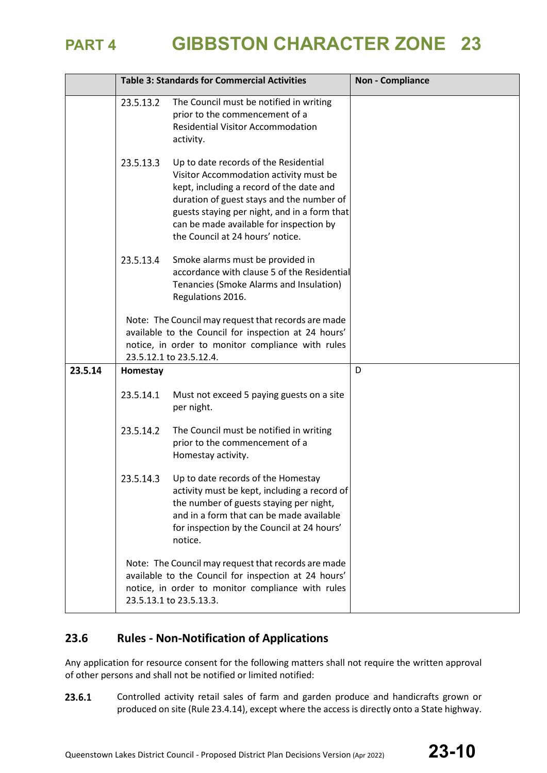|         |           | <b>Table 3: Standards for Commercial Activities</b>                                                                                                                                                                                                                                                     | <b>Non - Compliance</b> |
|---------|-----------|---------------------------------------------------------------------------------------------------------------------------------------------------------------------------------------------------------------------------------------------------------------------------------------------------------|-------------------------|
|         | 23.5.13.2 | The Council must be notified in writing<br>prior to the commencement of a<br><b>Residential Visitor Accommodation</b><br>activity.                                                                                                                                                                      |                         |
|         | 23.5.13.3 | Up to date records of the Residential<br>Visitor Accommodation activity must be<br>kept, including a record of the date and<br>duration of guest stays and the number of<br>guests staying per night, and in a form that<br>can be made available for inspection by<br>the Council at 24 hours' notice. |                         |
|         | 23.5.13.4 | Smoke alarms must be provided in<br>accordance with clause 5 of the Residential<br>Tenancies (Smoke Alarms and Insulation)<br>Regulations 2016.                                                                                                                                                         |                         |
|         |           | Note: The Council may request that records are made<br>available to the Council for inspection at 24 hours'<br>notice, in order to monitor compliance with rules<br>23.5.12.1 to 23.5.12.4.                                                                                                             |                         |
| 23.5.14 | Homestay  |                                                                                                                                                                                                                                                                                                         | D                       |
|         | 23.5.14.1 | Must not exceed 5 paying guests on a site<br>per night.                                                                                                                                                                                                                                                 |                         |
|         | 23.5.14.2 | The Council must be notified in writing<br>prior to the commencement of a<br>Homestay activity.                                                                                                                                                                                                         |                         |
|         | 23.5.14.3 | Up to date records of the Homestay<br>activity must be kept, including a record of<br>the number of guests staying per night,<br>and in a form that can be made available<br>for inspection by the Council at 24 hours'<br>notice.                                                                      |                         |
|         |           | Note: The Council may request that records are made<br>available to the Council for inspection at 24 hours'<br>notice, in order to monitor compliance with rules<br>23.5.13.1 to 23.5.13.3.                                                                                                             |                         |

## **23.6 Rules - Non-Notification of Applications**

Any application for resource consent for the following matters shall not require the written approval of other persons and shall not be notified or limited notified:

23.6.1 Controlled activity retail sales of farm and garden produce and handicrafts grown or produced on site (Rule 23.4.14), except where the access is directly onto a State highway.

Queenstown Lakes District Council - Proposed District Plan Decisions Version (Apr 2022) **23-10**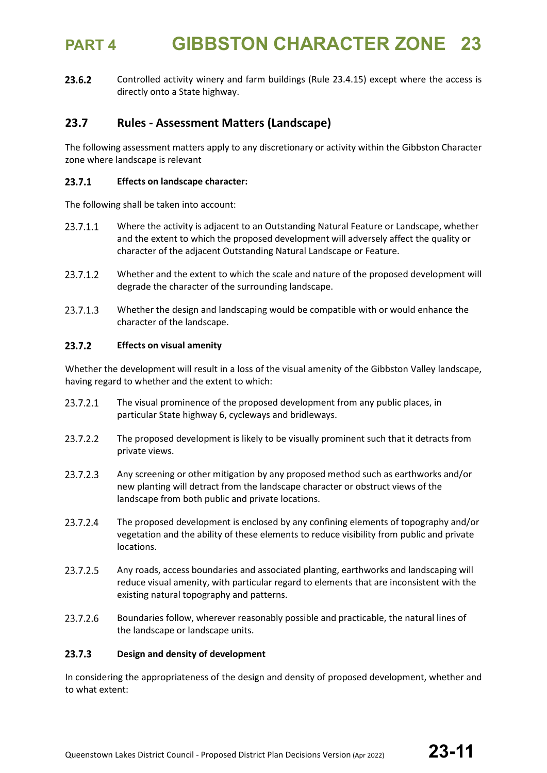23.6.2 Controlled activity winery and farm buildings (Rule 23.4.15) except where the access is directly onto a State highway.

## **23.7 Rules - Assessment Matters (Landscape)**

The following assessment matters apply to any discretionary or activity within the Gibbston Character zone where landscape is relevant

### 23.7.1 **Effects on landscape character:**

The following shall be taken into account:

- 23.7.1.1 Where the activity is adjacent to an Outstanding Natural Feature or Landscape, whether and the extent to which the proposed development will adversely affect the quality or character of the adjacent Outstanding Natural Landscape or Feature.
- 23.7.1.2 Whether and the extent to which the scale and nature of the proposed development will degrade the character of the surrounding landscape.
- 23.7.1.3 Whether the design and landscaping would be compatible with or would enhance the character of the landscape.

### 23.7.2 **Effects on visual amenity**

Whether the development will result in a loss of the visual amenity of the Gibbston Valley landscape, having regard to whether and the extent to which:

- The visual prominence of the proposed development from any public places, in 23.7.2.1 particular State highway 6, cycleways and bridleways.
- 23.7.2.2 The proposed development is likely to be visually prominent such that it detracts from private views.
- 23.7.2.3 Any screening or other mitigation by any proposed method such as earthworks and/or new planting will detract from the landscape character or obstruct views of the landscape from both public and private locations.
- 23.7.2.4 The proposed development is enclosed by any confining elements of topography and/or vegetation and the ability of these elements to reduce visibility from public and private locations.
- 23.7.2.5 Any roads, access boundaries and associated planting, earthworks and landscaping will reduce visual amenity, with particular regard to elements that are inconsistent with the existing natural topography and patterns.
- 23.7.2.6 Boundaries follow, wherever reasonably possible and practicable, the natural lines of the landscape or landscape units.

### $23.7.3$ **Design and density of development**

In considering the appropriateness of the design and density of proposed development, whether and to what extent: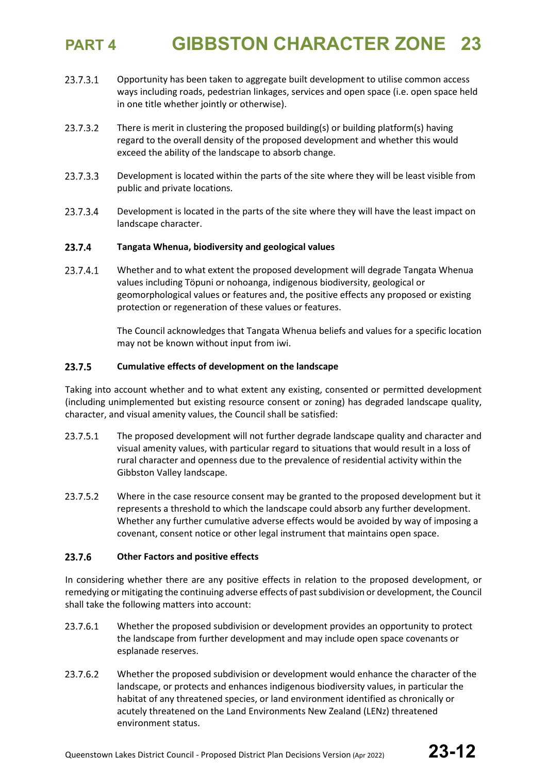- 23.7.3.1 Opportunity has been taken to aggregate built development to utilise common access ways including roads, pedestrian linkages, services and open space (i.e. open space held in one title whether jointly or otherwise).
- 23.7.3.2 There is merit in clustering the proposed building(s) or building platform(s) having regard to the overall density of the proposed development and whether this would exceed the ability of the landscape to absorb change.
- 23.7.3.3 Development is located within the parts of the site where they will be least visible from public and private locations.
- 23.7.3.4 Development is located in the parts of the site where they will have the least impact on landscape character.

### 23.7.4 **Tangata Whenua, biodiversity and geological values**

23.7.4.1 Whether and to what extent the proposed development will degrade Tangata Whenua values including Töpuni or nohoanga, indigenous biodiversity, geological or geomorphological values or features and, the positive effects any proposed or existing protection or regeneration of these values or features.

> The Council acknowledges that Tangata Whenua beliefs and values for a specific location may not be known without input from iwi.

### 23.7.5 **Cumulative effects of development on the landscape**

Taking into account whether and to what extent any existing, consented or permitted development (including unimplemented but existing resource consent or zoning) has degraded landscape quality, character, and visual amenity values, the Council shall be satisfied:

- 23.7.5.1 The proposed development will not further degrade landscape quality and character and visual amenity values, with particular regard to situations that would result in a loss of rural character and openness due to the prevalence of residential activity within the Gibbston Valley landscape.
- 23.7.5.2 Where in the case resource consent may be granted to the proposed development but it represents a threshold to which the landscape could absorb any further development. Whether any further cumulative adverse effects would be avoided by way of imposing a covenant, consent notice or other legal instrument that maintains open space.

### 23.7.6 **Other Factors and positive effects**

In considering whether there are any positive effects in relation to the proposed development, or remedying or mitigating the continuing adverse effects of past subdivision or development, the Council shall take the following matters into account:

- 23.7.6.1 Whether the proposed subdivision or development provides an opportunity to protect the landscape from further development and may include open space covenants or esplanade reserves.
- 23.7.6.2 Whether the proposed subdivision or development would enhance the character of the landscape, or protects and enhances indigenous biodiversity values, in particular the habitat of any threatened species, or land environment identified as chronically or acutely threatened on the Land Environments New Zealand (LENz) threatened environment status.